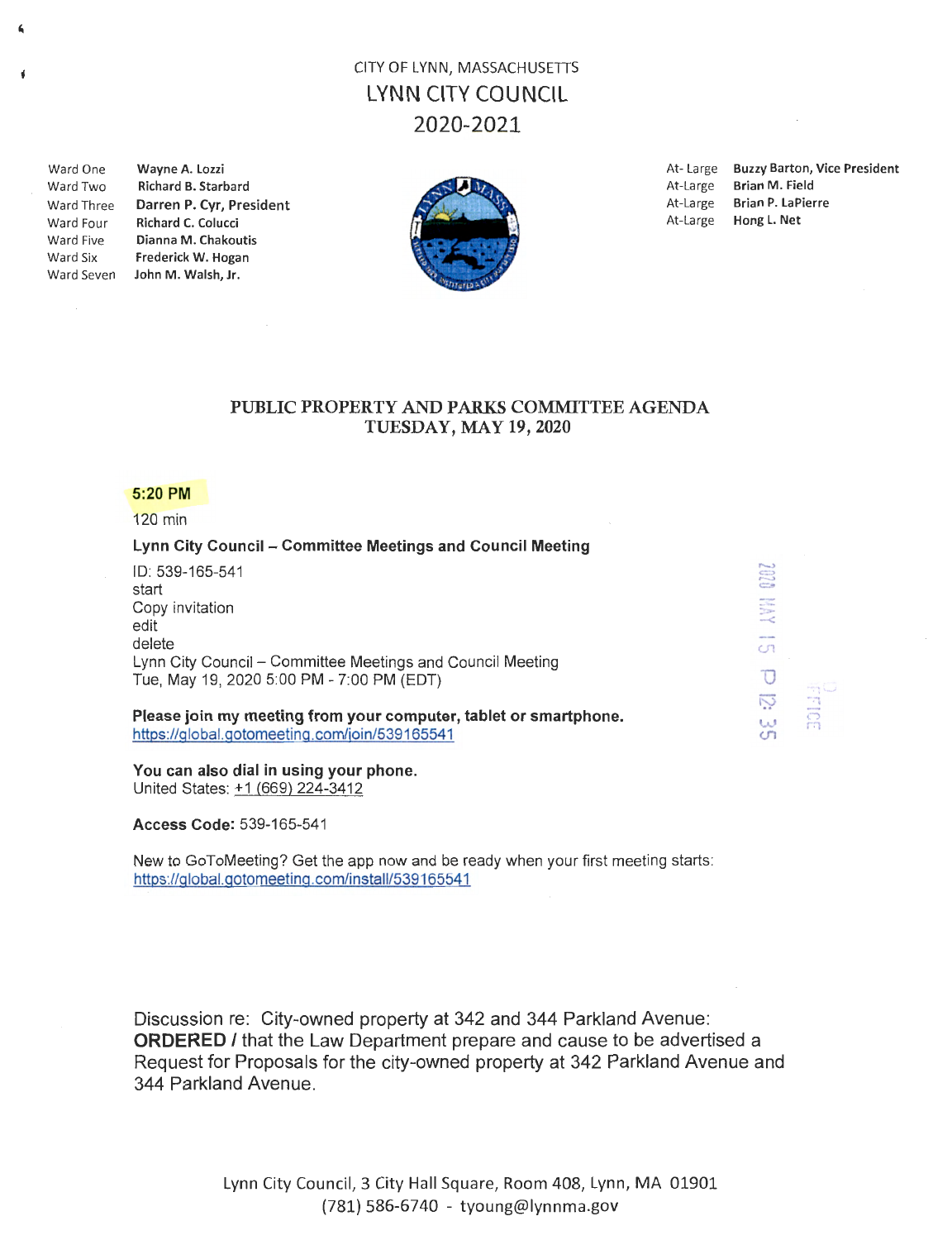# CITY OF LYNN, MASSACHUSETTS LYNN CITY COUNCIL 2020-2021

 $\boldsymbol{\epsilon}$ 

Ń

Ward Two Richard B. Starbard **At-Large Brian M. Field** At-Large Brian M. Field Ward Four Richard C. Colucci Ward Five Dianna M. Chakoutis Ward Six Frederick W. Hogan Ward Seven John M. Walsh, Jr.



Ward One Wayne A. Lozzi **At-Large Buzzy Barton, Vice President** Ward Three **Darren P. Cyr, President Market At-Large Brian P. LaPierre** At-Large Brian P. LaPierre At-Large Brian P. LaPierre

> $\overline{\phantom{0}}$  $\mathbb{C}^{\mathbb{C}}$ =- : ....  $\approx$  $\mathbb{C}^{\eta}$  $\overline{O}$ **I**:  $\omega$  $\mathfrak{c}$

 $\frac{1}{5}$ r:i

### PUBLIC PROPERTY AND PARKS COMMITTEE AGENDA TUESDAY, MAY 19, 2020

### 5:20 PM

120 min

## Lynn City Council - Committee Meetings and Council Meeting

| ID: 539-165-541                                            |
|------------------------------------------------------------|
| start                                                      |
| Copy invitation                                            |
| edit                                                       |
| delete                                                     |
| Lynn City Council – Committee Meetings and Council Meeting |
| Tue, May 19, 2020 5:00 PM - 7:00 PM (EDT)                  |

#### Please join my meeting from your computer, tablet or smartphone. https://global.gotomeeting.com/join/539165541

#### You can also dial in using your phone.

United States: +1 (669) 224-3412

Access Code: 539-165-541

New to GoToMeeting? Get the app now and be ready when your first meeting starts: https://global.gotomeeting.com/install/539165541

Discussion re: City-owned property at 342 and 344 Parkland Avenue: **ORDERED** *I* that the Law Department prepare and cause to be advertised a Request for Proposals for the city-owned property at 342 Parkland Avenue and 344 Parkland Avenue.